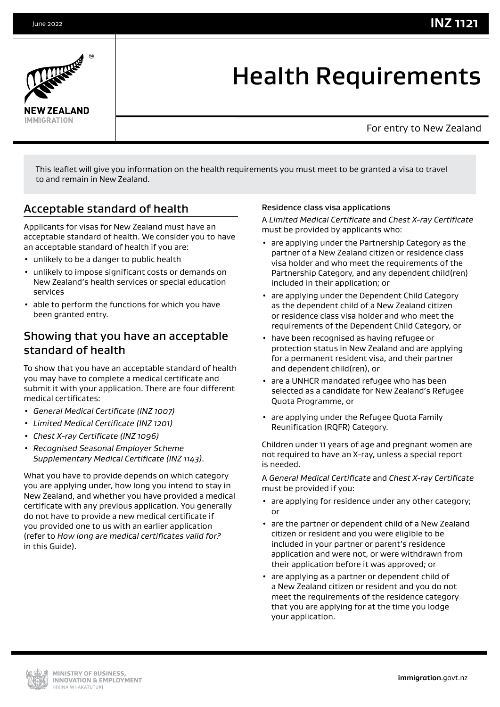





# Health Requirements

For entry to New Zealand

This leaflet will give you information on the health requirements you must meet to be granted a visa to travel to and remain in New Zealand.

### Acceptable standard of health

Applicants for visas for New Zealand must have an acceptable standard of health. We consider you to have an acceptable standard of health if you are:

- unlikely to be a danger to public health
- unlikely to impose significant costs or demands on New Zealand's health services or special education services
- able to perform the functions for which you have been granted entry.

### Showing that you have an acceptable standard of health

To show that you have an acceptable standard of health you may have to complete a medical certificate and submit it with your application. There are four different medical certificates:

- *General Medical Certificate (INZ 1007)*
- *Limited Medical Certificate (INZ 1201)*
- *Chest X-ray Certificate (INZ 1096)*
- *Recognised Seasonal Employer Scheme Supplementary Medical Certificate (INZ 1143)*.

What you have to provide depends on which category you are applying under, how long you intend to stay in New Zealand, and whether you have provided a medical certificate with any previous application. You generally do not have to provide a new medical certificate if you provided one to us with an earlier application (refer to *How long are medical certificates valid for?* in this Guide).

### Residence class visa applications

A *Limited Medical Certificate* and *Chest X-ray Certificate* must be provided by applicants who:

- are applying under the Partnership Category as the partner of a New Zealand citizen or residence class visa holder and who meet the requirements of the Partnership Category, and any dependent child(ren) included in their application; or
- are applying under the Dependent Child Category as the dependent child of a New Zealand citizen or residence class visa holder and who meet the requirements of the Dependent Child Category, or
- have been recognised as having refugee or protection status in New Zealand and are applying for a permanent resident visa, and their partner and dependent child(ren), or
- are a UNHCR mandated refugee who has been selected as a candidate for New Zealand's Refugee Quota Programme, or
- are applying under the Refugee Quota Family Reunification (RQFR) Category.

Children under 11 years of age and pregnant women are not required to have an X-ray, unless a special report is needed.

A *General Medical Certificate* and *Chest X-ray Certificate* must be provided if you:

- are applying for residence under any other category; or
- are the partner or dependent child of a New Zealand citizen or resident and you were eligible to be included in your partner or parent's residence application and were not, or were withdrawn from their application before it was approved; or
- are applying as a partner or dependent child of a New Zealand citizen or resident and you do not meet the requirements of the residence category that you are applying for at the time you lodge your application.

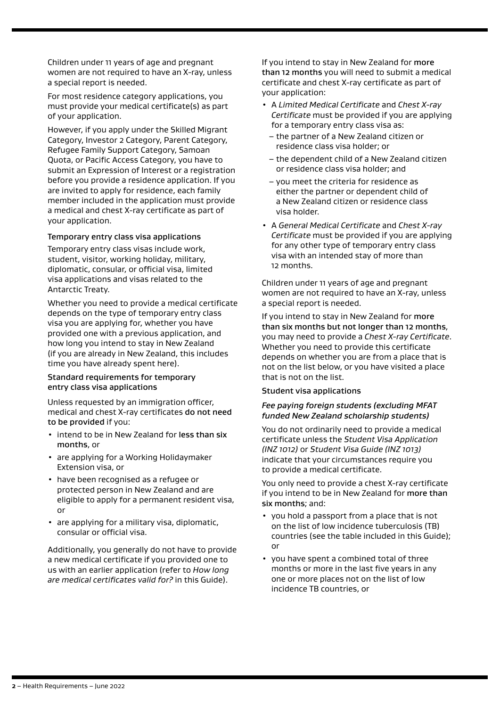Children under 11 years of age and pregnant women are not required to have an X-ray, unless a special report is needed.

For most residence category applications, you must provide your medical certificate(s) as part of your application.

However, if you apply under the Skilled Migrant Category, Investor 2 Category, Parent Category, Refugee Family Support Category, Samoan Quota, or Pacific Access Category, you have to submit an Expression of Interest or a registration before you provide a residence application. If you are invited to apply for residence, each family member included in the application must provide a medical and chest X-ray certificate as part of your application.

### Temporary entry class visa applications

Temporary entry class visas include work, student, visitor, working holiday, military, diplomatic, consular, or official visa, limited visa applications and visas related to the Antarctic Treaty.

Whether you need to provide a medical certificate depends on the type of temporary entry class visa you are applying for, whether you have provided one with a previous application, and how long you intend to stay in New Zealand (if you are already in New Zealand, this includes time you have already spent here).

### Standard requirements for temporary entry class visa applications

Unless requested by an immigration officer, medical and chest X-ray certificates do not need to be provided if you:

- intend to be in New Zealand for less than six months, or
- are applying for a Working Holidaymaker Extension visa, or
- have been recognised as a refugee or protected person in New Zealand and are eligible to apply for a permanent resident visa, or
- are applying for a military visa, diplomatic, consular or official visa.

Additionally, you generally do not have to provide a new medical certificate if you provided one to us with an earlier application (refer to *How long are medical certificates valid for?* in this Guide).

If you intend to stay in New Zealand for more than 12 months you will need to submit a medical certificate and chest X-ray certificate as part of your application:

- A *Limited Medical Certificate* and *Chest X-ray Certificate* must be provided if you are applying for a temporary entry class visa as:
	- the partner of a New Zealand citizen or residence class visa holder; or
	- the dependent child of a New Zealand citizen or residence class visa holder; and
	- you meet the criteria for residence as either the partner or dependent child of a New Zealand citizen or residence class visa holder.
- A *General Medical Certificate* and *Chest X-ray Certificate* must be provided if you are applying for any other type of temporary entry class visa with an intended stay of more than 12 months.

Children under 11 years of age and pregnant women are not required to have an X-ray, unless a special report is needed.

If you intend to stay in New Zealand for more than six months but not longer than 12 months, you may need to provide a *Chest X-ray Certificate*. Whether you need to provide this certificate depends on whether you are from a place that is not on the list below, or you have visited a place that is not on the list.

#### Student visa applications

#### *Fee paying foreign students (excluding MFAT funded New Zealand scholarship students)*

You do not ordinarily need to provide a medical certificate unless the *Student Visa Application (INZ 1012)* or *Student Visa Guide (INZ 1013)* indicate that your circumstances require you to provide a medical certificate.

You only need to provide a chest X-ray certificate if you intend to be in New Zealand for more than six months; and:

- you hold a passport from a place that is not on the list of low incidence tuberculosis (TB) countries (see the table included in this Guide); or
- you have spent a combined total of three months or more in the last five years in any one or more places not on the list of low incidence TB countries, or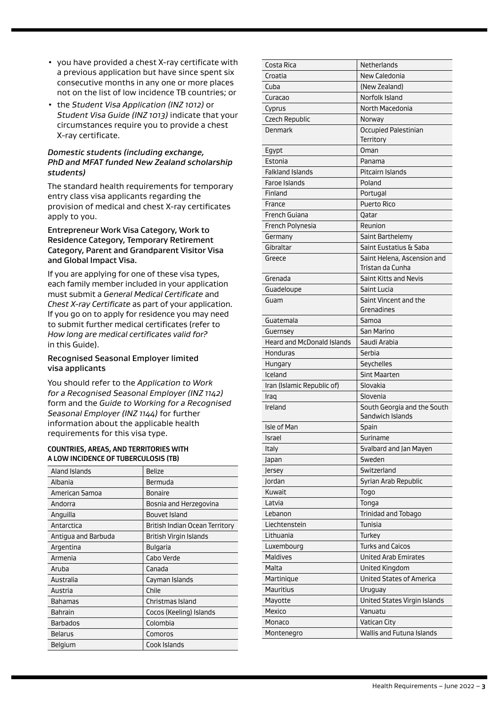- you have provided a chest X-ray certificate with a previous application but have since spent six consecutive months in any one or more places not on the list of low incidence TB countries; or
- the *Student Visa Application (INZ 1012)* or *Student Visa Guide (INZ 1013)* indicate that your circumstances require you to provide a chest X-ray certificate.

### *Domestic students (including exchange, PhD and MFAT funded New Zealand scholarship students)*

The standard health requirements for temporary entry class visa applicants regarding the provision of medical and chest X-ray certificates apply to you.

### Entrepreneur Work Visa Category, Work to Residence Category, Temporary Retirement Category, Parent and Grandparent Visitor Visa and Global Impact Visa.

If you are applying for one of these visa types, each family member included in your application must submit a *General Medical Certificate* and *Chest X-ray Certificate* as part of your application. If you go on to apply for residence you may need to submit further medical certificates (refer to *How long are medical certificates valid for?* in this Guide).

### Recognised Seasonal Employer limited visa applicants

You should refer to the *Application to Work for a Recognised Seasonal Employer (INZ 1142)* form and the *Guide to Working for a Recognised Seasonal Employer (INZ 1144)* for further information about the applicable health requirements for this visa type.

#### **COUNTRIES, AREAS, AND TERRITORIES WITH A LOW INCIDENCE OF TUBERCULOSIS (TB)**

| Aland Islands       | <b>Belize</b>                  |
|---------------------|--------------------------------|
| Albania             | Bermuda                        |
| American Samoa      | Bonaire                        |
| Andorra             | Bosnia and Herzegovina         |
| Anguilla            | Bouvet Island                  |
| Antarctica          | British Indian Ocean Territory |
| Antigua and Barbuda | British Virgin Islands         |
| Argentina           | <b>Bulgaria</b>                |
| Armenia             | Cabo Verde                     |
| Aruba               | Canada                         |
| Australia           | Cayman Islands                 |
| Austria             | Chile                          |
| <b>Bahamas</b>      | Christmas Island               |
| <b>Bahrain</b>      | Cocos (Keeling) Islands        |
| <b>Barbados</b>     | Colombia                       |
| Belarus             | Comoros                        |
| <b>Belgium</b>      | Cook Islands                   |

| Costa Rica                        | Netherlands                     |
|-----------------------------------|---------------------------------|
| Croatia                           | New Caledonia                   |
| Cuba                              | (New Zealand)                   |
| Curacao                           | Norfolk Island                  |
| Cyprus                            | North Macedonia                 |
| <b>Czech Republic</b>             | Norway                          |
| Denmark                           | Occupied Palestinian            |
|                                   | Territory                       |
| Egypt                             | Oman                            |
| Estonia                           | Panama                          |
| <b>Falkland Islands</b>           | Pitcairn Islands                |
| <b>Faroe Islands</b>              | Poland                          |
| Finland                           | Portugal                        |
| France                            | <b>Puerto Rico</b>              |
| French Guiana                     | Qatar                           |
| French Polynesia                  | Reunion                         |
| Germany                           | Saint Barthelemy                |
| Gibraltar                         | Saint Eustatius & Saba          |
| Greece                            | Saint Helena, Ascension and     |
|                                   | Tristan da Cunha                |
| Grenada                           | Saint Kitts and Nevis           |
| Guadeloupe                        | Saint Lucia                     |
| Guam                              | Saint Vincent and the           |
|                                   | Grenadines                      |
| Guatemala                         | Samoa                           |
| Guernsey                          | San Marino                      |
| <b>Heard and McDonald Islands</b> | Saudi Arabia                    |
| Honduras                          | Serbia                          |
| Hungary                           | Seychelles                      |
| Iceland                           | <b>Sint Maarten</b>             |
| Iran (Islamic Republic of)        | Slovakia                        |
| Iraq                              | Slovenia                        |
| Ireland                           | South Georgia and the South     |
|                                   | Sandwich Islands                |
| Isle of Man                       | Spain                           |
| Israel                            | Suriname                        |
| Italy                             | Svalbard and Jan Mayen          |
| Japan                             | Sweden                          |
| Jersey                            | Switzerland                     |
| Jordan                            | Syrian Arab Republic            |
| Kuwait                            | Togo                            |
| Latvia                            | Tonga                           |
| Lebanon                           | Trinidad and Tobago             |
| Liechtenstein                     | Tunisia                         |
| Lithuania                         | Turkey                          |
| Luxembourg                        | <b>Turks and Caicos</b>         |
| <b>Maldives</b>                   | <b>United Arab Emirates</b>     |
| Malta                             | United Kingdom                  |
| Martinique                        | <b>United States of America</b> |
| Mauritius                         | Uruguay                         |
| Mayotte                           | United States Virgin Islands    |
| Mexico                            | Vanuatu                         |
| Monaco                            | Vatican City                    |
| Montenegro                        | Wallis and Futuna Islands       |
|                                   |                                 |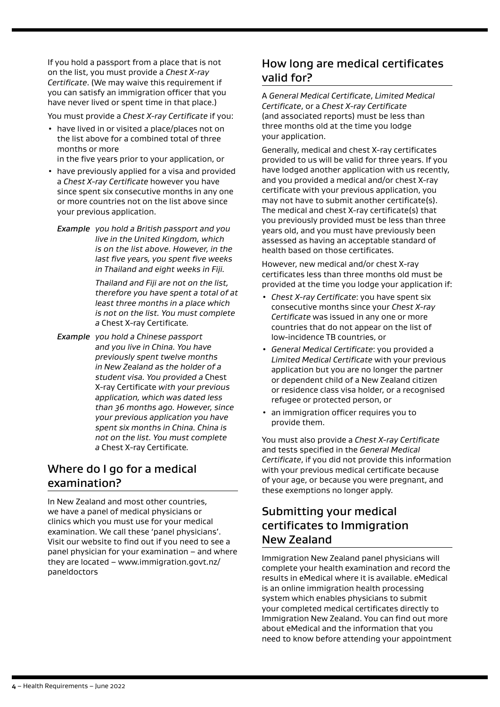If you hold a passport from a place that is not on the list, you must provide a *Chest X-ray Certificate*. (We may waive this requirement if you can satisfy an immigration officer that you have never lived or spent time in that place.)

You must provide a *Chest X-ray Certificate* if you:

- have lived in or visited a place/places not on the list above for a combined total of three months or more in the five years prior to your application, or
- have previously applied for a visa and provided a *Chest X-ray Certificate* however you have since spent six consecutive months in any one or more countries not on the list above since your previous application.
	- *Example you hold a British passport and you live in the United Kingdom, which is on the list above. However, in the last five years, you spent five weeks in Thailand and eight weeks in Fiji.*

*Thailand and Fiji are not on the list, therefore you have spent a total of at least three months in a place which is not on the list. You must complete a* Chest X-ray Certificate*.*

*Example you hold a Chinese passport and you live in China. You have previously spent twelve months in New Zealand as the holder of a student visa. You provided a* Chest X-ray Certificate *with your previous application, which was dated less than 36 months ago. However, since your previous application you have spent six months in China. China is not on the list. You must complete a* Chest X-ray Certificate*.* 

# Where do I go for a medical examination?

In New Zealand and most other countries, we have a panel of medical physicians or clinics which you must use for your medical examination. We call these 'panel physicians'. Visit our website to find out if you need to see a panel physician for your examination – and where they are located – [www.immigration.govt.nz/](http://onlineservices.immigration.govt.nz/migrant/stream/work/skilledmigrant/LinkAdministration/ToolboxLinks/paneldoctors.htm?level=1) [paneldoctors](http://onlineservices.immigration.govt.nz/migrant/stream/work/skilledmigrant/LinkAdministration/ToolboxLinks/paneldoctors.htm?level=1)

# How long are medical certificates valid for?

A *General Medical Certificate*, *Limited Medical Certificate*, or a *Chest X-ray Certificate* (and associated reports) must be less than three months old at the time you lodge your application.

Generally, medical and chest X-ray certificates provided to us will be valid for three years. If you have lodged another application with us recently, and you provided a medical and/or chest X-ray certificate with your previous application, you may not have to submit another certificate(s). The medical and chest X-ray certificate(s) that you previously provided must be less than three years old, and you must have previously been assessed as having an acceptable standard of health based on those certificates.

However, new medical and/or chest X-ray certificates less than three months old must be provided at the time you lodge your application if:

- *Chest X-ray Certificate*: you have spent six consecutive months since your *Chest X-ray Certificate* was issued in any one or more countries that do not appear on the list of low-incidence TB countries, or
- *General Medical Certificate*: you provided a *Limited Medical Certificate* with your previous application but you are no longer the partner or dependent child of a New Zealand citizen or residence class visa holder, or a recognised refugee or protected person, or
- an immigration officer requires you to provide them.

You must also provide a *Chest X-ray Certificate* and tests specified in the *General Medical Certificate*, if you did not provide this information with your previous medical certificate because of your age, or because you were pregnant, and these exemptions no longer apply.

# Submitting your medical certificates to Immigration New Zealand

Immigration New Zealand panel physicians will complete your health examination and record the results in eMedical where it is available. eMedical is an online immigration health processing system which enables physicians to submit your completed medical certificates directly to Immigration New Zealand. You can find out more about eMedical and the information that you need to know before attending your appointment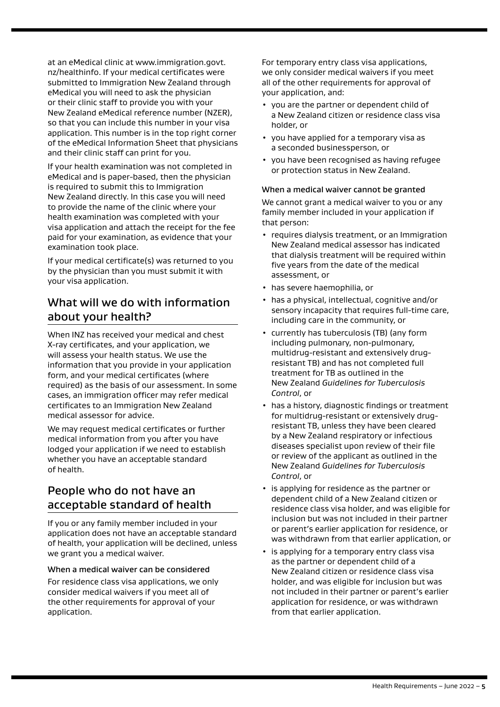at an eMedical clinic at www.immigration.govt. nz/healthinfo. If your medical certificates were submitted to Immigration New Zealand through eMedical you will need to ask the physician or their clinic staff to provide you with your New Zealand eMedical reference number (NZER), so that you can include this number in your visa application. This number is in the top right corner of the eMedical Information Sheet that physicians and their clinic staff can print for you.

If your health examination was not completed in eMedical and is paper-based, then the physician is required to submit this to Immigration New Zealand directly. In this case you will need to provide the name of the clinic where your health examination was completed with your visa application and attach the receipt for the fee paid for your examination, as evidence that your examination took place.

If your medical certificate(s) was returned to you by the physician than you must submit it with your visa application.

# What will we do with information about your health?

When INZ has received your medical and chest X-ray certificates, and your application, we will assess your health status. We use the information that you provide in your application form, and your medical certificates (where required) as the basis of our assessment. In some cases, an immigration officer may refer medical certificates to an Immigration New Zealand medical assessor for advice.

We may request medical certificates or further medical information from you after you have lodged your application if we need to establish whether you have an acceptable standard of health.

# People who do not have an acceptable standard of health

If you or any family member included in your application does not have an acceptable standard of health, your application will be declined, unless we grant you a medical waiver.

### When a medical waiver can be considered

For residence class visa applications, we only consider medical waivers if you meet all of the other requirements for approval of your application.

For temporary entry class visa applications, we only consider medical waivers if you meet all of the other requirements for approval of your application, and:

- you are the partner or dependent child of a New Zealand citizen or residence class visa holder, or
- you have applied for a temporary visa as a seconded businessperson, or
- you have been recognised as having refugee or protection status in New Zealand.

### When a medical waiver cannot be granted

We cannot grant a medical waiver to you or any family member included in your application if that person:

- requires dialysis treatment, or an Immigration New Zealand medical assessor has indicated that dialysis treatment will be required within five years from the date of the medical assessment, or
- has severe haemophilia, or
- has a physical, intellectual, cognitive and/or sensory incapacity that requires full-time care, including care in the community, or
- currently has tuberculosis (TB) (any form including pulmonary, non-pulmonary, multidrug-resistant and extensively drugresistant TB) and has not completed full treatment for TB as outlined in the New Zealand *Guidelines for Tuberculosis Control*, or
- has a history, diagnostic findings or treatment for multidrug-resistant or extensively drugresistant TB, unless they have been cleared by a New Zealand respiratory or infectious diseases specialist upon review of their file or review of the applicant as outlined in the New Zealand *Guidelines for Tuberculosis Control*, or
- is applying for residence as the partner or dependent child of a New Zealand citizen or residence class visa holder, and was eligible for inclusion but was not included in their partner or parent's earlier application for residence, or was withdrawn from that earlier application, or
- is applying for a temporary entry class visa as the partner or dependent child of a New Zealand citizen or residence class visa holder, and was eligible for inclusion but was not included in their partner or parent's earlier application for residence, or was withdrawn from that earlier application.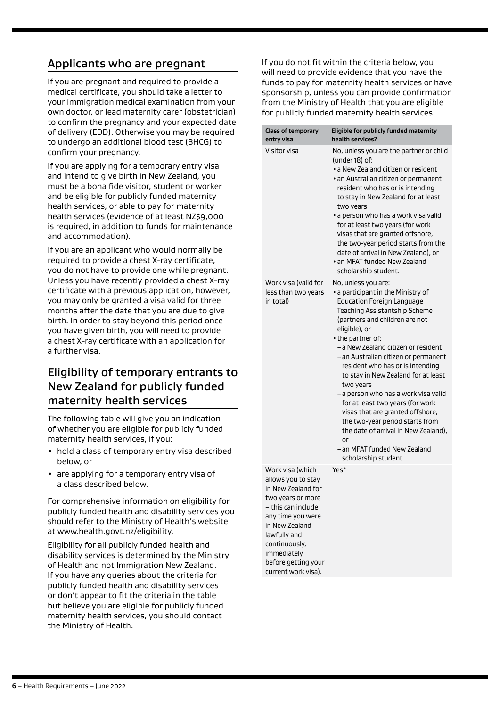# Applicants who are pregnant

If you are pregnant and required to provide a medical certificate, you should take a letter to your immigration medical examination from your own doctor, or lead maternity carer (obstetrician) to confirm the pregnancy and your expected date of delivery (EDD). Otherwise you may be required to undergo an additional blood test (BHCG) to confirm your pregnancy.

If you are applying for a temporary entry visa and intend to give birth in New Zealand, you must be a bona fide visitor, student or worker and be eligible for publicly funded maternity health services, or able to pay for maternity health services (evidence of at least NZ\$9,000 is required, in addition to funds for maintenance and accommodation).

If you are an applicant who would normally be required to provide a chest X-ray certificate, you do not have to provide one while pregnant. Unless you have recently provided a chest X-ray certificate with a previous application, however, you may only be granted a visa valid for three months after the date that you are due to give birth. In order to stay beyond this period once you have given birth, you will need to provide a chest X-ray certificate with an application for a further visa.

# Eligibility of temporary entrants to New Zealand for publicly funded maternity health services

The following table will give you an indication of whether you are eligible for publicly funded maternity health services, if you:

- hold a class of temporary entry visa described below, or
- are applying for a temporary entry visa of a class described below.

For comprehensive information on eligibility for publicly funded health and disability services you should refer to the Ministry of Health's website at www.health.govt.nz/eligibility.

Eligibility for all publicly funded health and disability services is determined by the Ministry of Health and not Immigration New Zealand. If you have any queries about the criteria for publicly funded health and disability services or don't appear to fit the criteria in the table but believe you are eligible for publicly funded maternity health services, you should contact the Ministry of Health.

If you do not fit within the criteria below, you will need to provide evidence that you have the funds to pay for maternity health services or have sponsorship, unless you can provide confirmation from the Ministry of Health that you are eligible for publicly funded maternity health services.

| <b>Class of temporary</b><br>entry visa                                                                                                                                                                               | Eligible for publicly funded maternity<br>health services?                                                                                                                                                                                                                                                                                                                                                                                                                                                                                                                                                                             |
|-----------------------------------------------------------------------------------------------------------------------------------------------------------------------------------------------------------------------|----------------------------------------------------------------------------------------------------------------------------------------------------------------------------------------------------------------------------------------------------------------------------------------------------------------------------------------------------------------------------------------------------------------------------------------------------------------------------------------------------------------------------------------------------------------------------------------------------------------------------------------|
| Visitor visa                                                                                                                                                                                                          | No, unless you are the partner or child<br>(under 18) of:<br>· a New Zealand citizen or resident<br>· an Australian citizen or permanent<br>resident who has or is intending<br>to stay in New Zealand for at least<br>two years<br>• a person who has a work visa valid<br>for at least two years (for work<br>visas that are granted offshore,<br>the two-year period starts from the<br>date of arrival in New Zealand), or<br>• an MFAT funded New Zealand<br>scholarship student.                                                                                                                                                 |
| Work visa (valid for<br>less than two years<br>in total)                                                                                                                                                              | No, unless you are:<br>• a participant in the Ministry of<br><b>Education Foreign Language</b><br>Teaching Assistantship Scheme<br>(partners and children are not<br>eligible), or<br>• the partner of:<br>-a New Zealand citizen or resident<br>- an Australian citizen or permanent<br>resident who has or is intending<br>to stay in New Zealand for at least<br>two years<br>- a person who has a work visa valid<br>for at least two years (for work<br>visas that are granted offshore,<br>the two-year period starts from<br>the date of arrival in New Zealand),<br>or<br>– an MFAT funded New Zealand<br>scholarship student. |
| Work visa (which<br>allows you to stay<br>in New Zealand for<br>two years or more<br>– this can include<br>any time you were<br>in New Zealand<br>lawfully and<br>continuously,<br>immediately<br>before getting your | Yes*                                                                                                                                                                                                                                                                                                                                                                                                                                                                                                                                                                                                                                   |

current work visa).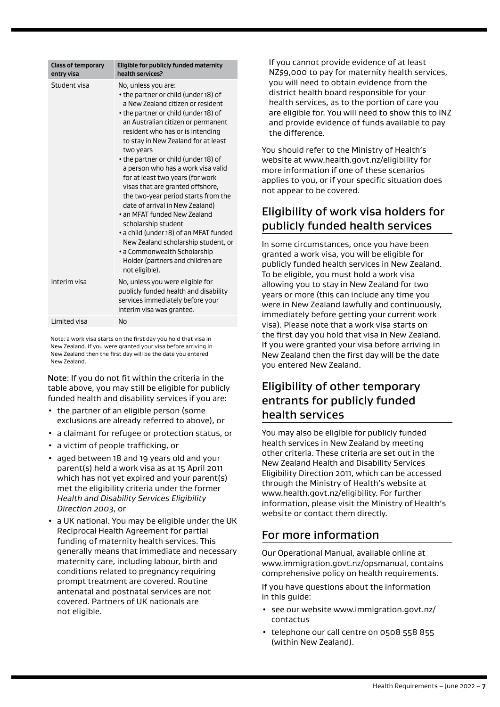| <b>Class of temporary</b><br>entry visa | Eligible for publicly funded maternity<br>health services?                                                                                                                                                                                                                                                                                                                                                                                                                                                                                                                                                                                                                                                                            |
|-----------------------------------------|---------------------------------------------------------------------------------------------------------------------------------------------------------------------------------------------------------------------------------------------------------------------------------------------------------------------------------------------------------------------------------------------------------------------------------------------------------------------------------------------------------------------------------------------------------------------------------------------------------------------------------------------------------------------------------------------------------------------------------------|
| Student visa                            | No, unless you are:<br>• the partner or child (under 18) of<br>a New Zealand citizen or resident<br>• the partner or child (under 18) of<br>an Australian citizen or permanent<br>resident who has or is intending<br>to stay in New Zealand for at least<br>two years<br>• the partner or child (under 18) of<br>a person who has a work visa valid<br>for at least two years (for work<br>visas that are granted offshore,<br>the two-year period starts from the<br>date of arrival in New Zealand)<br>. an MFAT funded New Zealand<br>scholarship student<br>• a child (under 18) of an MFAT funded<br>New Zealand scholarship student, or<br>• a Commonwealth Scholarship<br>Holder (partners and children are<br>not eligible). |
| Interim visa                            | No, unless you were eligible for<br>publicly funded health and disability<br>services immediately before your<br>interim visa was granted.                                                                                                                                                                                                                                                                                                                                                                                                                                                                                                                                                                                            |
| Limited visa                            | <b>No</b>                                                                                                                                                                                                                                                                                                                                                                                                                                                                                                                                                                                                                                                                                                                             |

Note: a work visa starts on the first day you hold that visa in New Zealand. If you were granted your visa before arriving in New Zealand then the first day will be the date you entered New Zealand.

Note: If you do not fit within the criteria in the table above, you may still be eligible for publicly funded health and disability services if you are:

- the partner of an eligible person (some exclusions are already referred to above), or
- a claimant for refugee or protection status, or
- a victim of people trafficking, or
- aged between 18 and 19 years old and your parent(s) held a work visa as at 15 April 2011 which has not yet expired and your parent(s) met the eligibility criteria under the former *Health and Disability Services Eligibility Direction 2003*, or
- a UK national. You may be eligible under the UK Reciprocal Health Agreement for partial funding of maternity health services. This generally means that immediate and necessary maternity care, including labour, birth and conditions related to pregnancy requiring prompt treatment are covered. Routine antenatal and postnatal services are not covered. Partners of UK nationals are not eligible.

If you cannot provide evidence of at least NZ\$9,000 to pay for maternity health services, you will need to obtain evidence from the district health board responsible for your health services, as to the portion of care you are eligible for. You will need to show this to INZ and provide evidence of funds available to pay the difference.

You should refer to the Ministry of Health's website at www.health.govt.nz/eligibility for more information if one of these scenarios applies to you, or if your specific situation does not appear to be covered.

# Eligibility of work visa holders for publicly funded health services

In some circumstances, once you have been granted a work visa, you will be eligible for publicly funded health services in New Zealand. To be eligible, you must hold a work visa allowing you to stay in New Zealand for two years or more (this can include any time you were in New Zealand lawfully and continuously, immediately before getting your current work visa). Please note that a work visa starts on the first day you hold that visa in New Zealand. If you were granted your visa before arriving in New Zealand then the first day will be the date you entered New Zealand.

# Eligibility of other temporary entrants for publicly funded health services

You may also be eligible for publicly funded health services in New Zealand by meeting other criteria. These criteria are set out in the New Zealand Health and Disability Services Eligibility Direction 2011, which can be accessed through the Ministry of Health's website at www.health.govt.nz/eligibility. For further information, please visit the Ministry of Health's website or contact them directly.

### For more information

Our Operational Manual, available online at www.immigration.govt.nz/opsmanual, contains comprehensive policy on health requirements.

If you have questions about the information in this guide:

- see our website www.immigration.govt.nz/ contactus
- telephone our call centre on 0508 558 855 (within New Zealand).